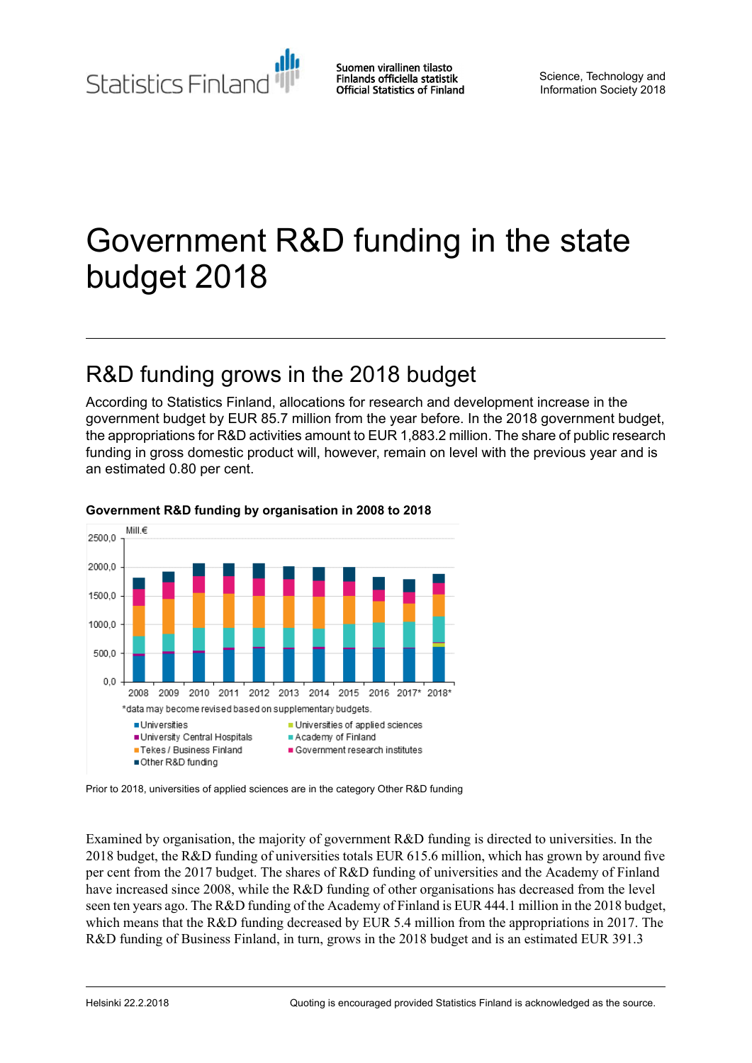Statistics Finland

Suomen virallinen tilasto Finlands officiella statistik **Official Statistics of Finland** 

Science, Technology and Information Society 2018

# Government R&D funding in the state budget 2018

## R&D funding grows in the 2018 budget

According to Statistics Finland, allocations for research and development increase in the government budget by EUR 85.7 million from the year before. In the 2018 government budget, the appropriations for R&D activities amount to EUR 1,883.2 million. The share of public research funding in gross domestic product will, however, remain on level with the previous year and is an estimated 0.80 per cent.



#### **Government R&D funding by organisation in 2008 to 2018**

Prior to 2018, universities of applied sciences are in the category Other R&D funding

Examined by organisation, the majority of government R&D funding is directed to universities. In the 2018 budget, the R&D funding of universities totals EUR 615.6 million, which has grown by around five per cent from the 2017 budget. The shares of R&D funding of universities and the Academy of Finland have increased since 2008, while the R&D funding of other organisations has decreased from the level seen ten years ago. The R&D funding of the Academy of Finland is EUR 444.1 million in the 2018 budget, which means that the R&D funding decreased by EUR 5.4 million from the appropriations in 2017. The R&D funding of Business Finland, in turn, grows in the 2018 budget and is an estimated EUR 391.3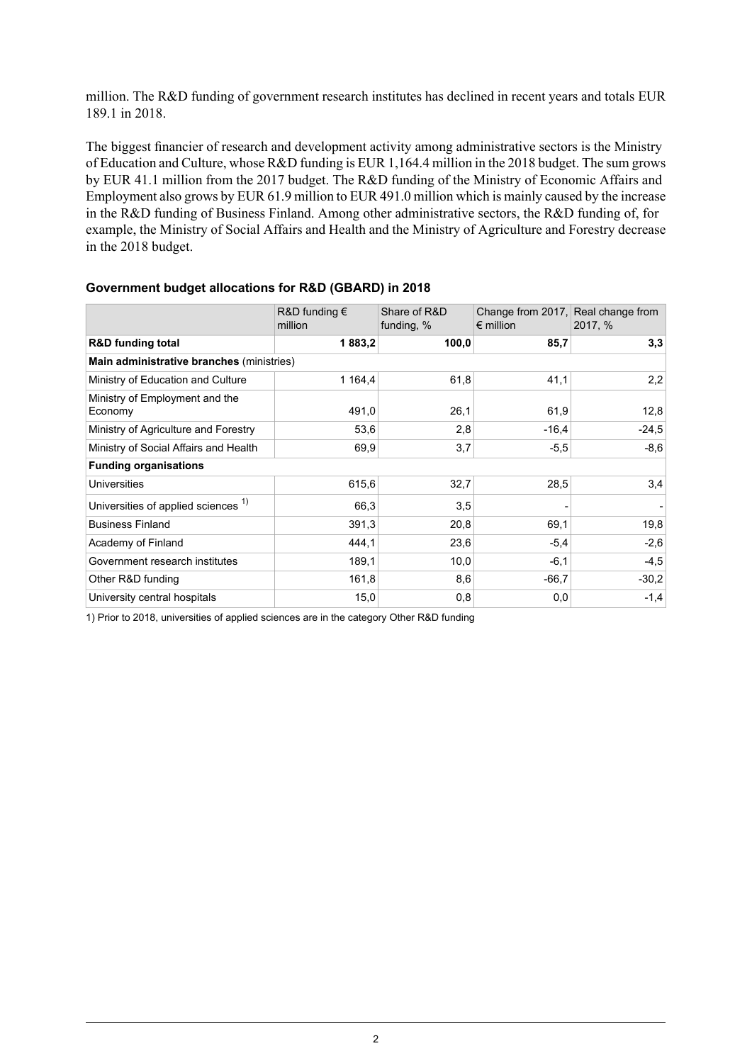million. The R&D funding of government research institutes has declined in recent years and totals EUR 189.1 in 2018.

The biggest financier of research and development activity among administrative sectors is the Ministry of Education and Culture, whose R&D funding is EUR 1,164.4 million in the 2018 budget. The sum grows by EUR 41.1 million from the 2017 budget. The R&D funding of the Ministry of Economic Affairs and Employment also grows by EUR 61.9 million to EUR 491.0 million which is mainly caused by the increase in the R&D funding of Business Finland. Among other administrative sectors, the R&D funding of, for example, the Ministry of Social Affairs and Health and the Ministry of Agriculture and Forestry decrease in the 2018 budget.

|                                                | R&D funding $\epsilon$<br>million | Share of R&D<br>funding, % | Change from 2017, Real change from<br>$\epsilon$ million | 2017, % |
|------------------------------------------------|-----------------------------------|----------------------------|----------------------------------------------------------|---------|
| <b>R&amp;D</b> funding total                   | 1883,2                            | 100,0                      | 85,7                                                     | 3,3     |
| Main administrative branches (ministries)      |                                   |                            |                                                          |         |
| Ministry of Education and Culture              | 1 1 64,4                          | 61,8                       | 41,1                                                     | 2,2     |
| Ministry of Employment and the<br>Economy      | 491,0                             | 26,1                       | 61,9                                                     | 12,8    |
| Ministry of Agriculture and Forestry           | 53,6                              | 2,8                        | $-16.4$                                                  | $-24.5$ |
| Ministry of Social Affairs and Health          | 69,9                              | 3,7                        | $-5,5$                                                   | $-8,6$  |
| <b>Funding organisations</b>                   |                                   |                            |                                                          |         |
| <b>Universities</b>                            | 615,6                             | 32,7                       | 28,5                                                     | 3,4     |
| Universities of applied sciences <sup>1)</sup> | 66,3                              | 3,5                        |                                                          |         |
| <b>Business Finland</b>                        | 391,3                             | 20,8                       | 69.1                                                     | 19,8    |
| Academy of Finland                             | 444,1                             | 23,6                       | $-5,4$                                                   | $-2,6$  |
| Government research institutes                 | 189,1                             | 10,0                       | $-6,1$                                                   | $-4,5$  |
| Other R&D funding                              | 161,8                             | 8,6                        | $-66.7$                                                  | $-30,2$ |
| University central hospitals                   | 15,0                              | 0,8                        | 0,0                                                      | $-1,4$  |

#### **Government budget allocations for R&D (GBARD) in 2018**

1) Prior to 2018, universities of applied sciences are in the category Other R&D funding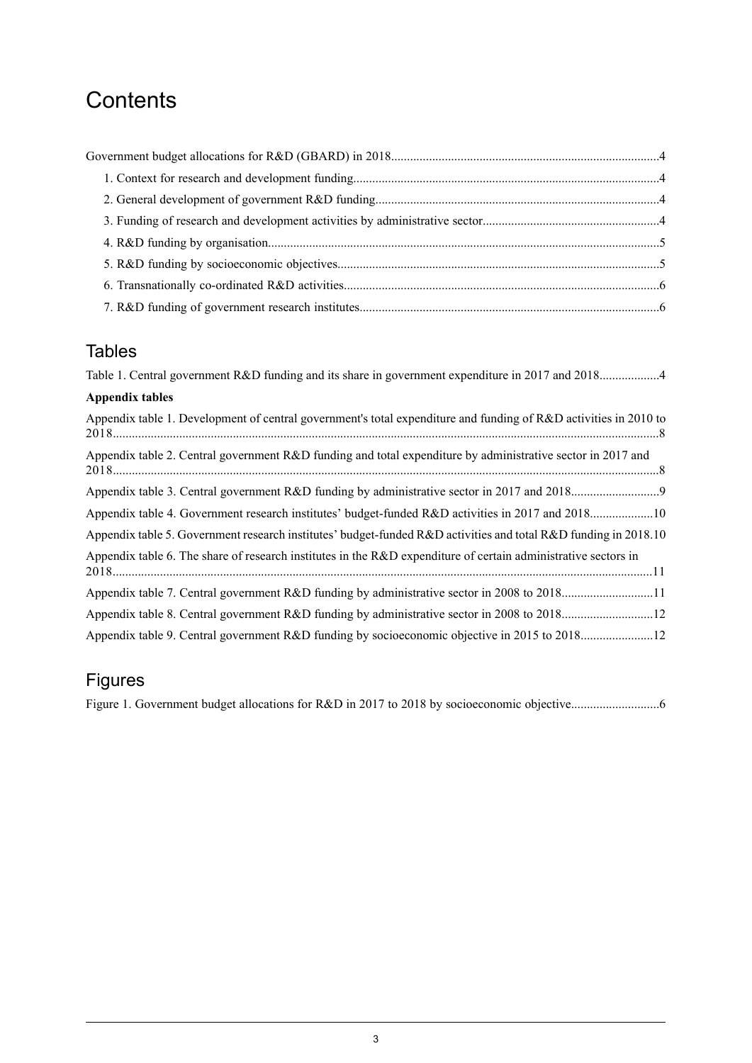## **Contents**

### Tables

### Figures

Figure 1. Government budget allocations for R&D in 2017 to 2018 by socioeconomic [objective............................6](#page-5-2)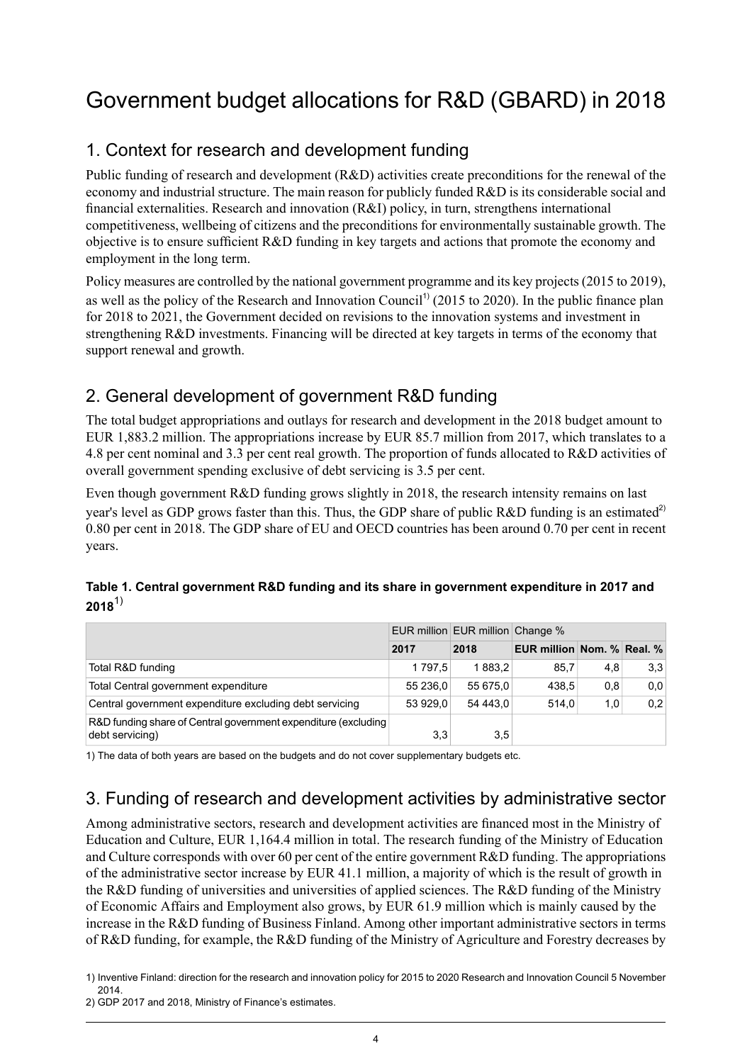## <span id="page-3-0"></span>Government budget allocations for R&D (GBARD) in 2018

### <span id="page-3-1"></span>1. Context for research and development funding

Public funding of research and development (R&D) activities create preconditions for the renewal of the economy and industrial structure. The main reason for publicly funded R&D is its considerable social and financial externalities. Research and innovation (R&I) policy, in turn, strengthens international competitiveness, wellbeing of citizens and the preconditions for environmentally sustainable growth. The objective is to ensure sufficient R&D funding in key targets and actions that promote the economy and employment in the long term.

Policy measures are controlled by the national government programme and its key projects(2015 to 2019), as well as the policy of the Research and Innovation Council<sup>11</sup> (2015 to 2020). In the public finance plan for 2018 to 2021, the Government decided on revisions to the innovation systems and investment in strengthening R&D investments. Financing will be directed at key targets in terms of the economy that support renewal and growth.

### <span id="page-3-2"></span>2. General development of government R&D funding

The total budget appropriations and outlays for research and development in the 2018 budget amount to EUR 1,883.2 million. The appropriations increase by EUR 85.7 million from 2017, which translates to a 4.8 per cent nominal and 3.3 per cent real growth. The proportion of funds allocated to R&D activities of overall government spending exclusive of debt servicing is 3.5 per cent.

<span id="page-3-4"></span>Even though government R&D funding grows slightly in 2018, the research intensity remains on last year's level as GDP grows faster than this. Thus, the GDP share of public R&D funding is an estimated<sup>2)</sup> 0.80 per cent in 2018. The GDP share of EU and OECD countries has been around 0.70 per cent in recent years.

### **Table 1. Central government R&D funding and its share in government expenditure in 2017 and 2018**1)

|                                                                                   | EUR million EUR million Change % |          |                                   |     |     |
|-----------------------------------------------------------------------------------|----------------------------------|----------|-----------------------------------|-----|-----|
|                                                                                   | 2017                             | 2018     | <b>EUR million Nom. % Real. %</b> |     |     |
| Total R&D funding                                                                 | 1797.5                           | 1883.2   | 85,7                              | 4,8 | 3,3 |
| Total Central government expenditure                                              | 55 236.0                         | 55 675.0 | 438.5                             | 0,8 | 0,0 |
| Central government expenditure excluding debt servicing                           | 53 929.0                         | 54 443.0 | 514.0                             | 1,0 | 0,2 |
| R&D funding share of Central government expenditure (excluding<br>debt servicing) | 3,3                              | 3,5      |                                   |     |     |

<span id="page-3-3"></span>1) The data of both years are based on the budgets and do not cover supplementary budgets etc.

### 3. Funding of research and development activities by administrative sector

Among administrative sectors, research and development activities are financed most in the Ministry of Education and Culture, EUR 1,164.4 million in total. The research funding of the Ministry of Education and Culture corresponds with over 60 per cent of the entire government R&D funding. The appropriations of the administrative sector increase by EUR 41.1 million, a majority of which is the result of growth in the R&D funding of universities and universities of applied sciences. The R&D funding of the Ministry of Economic Affairs and Employment also grows, by EUR 61.9 million which is mainly caused by the increase in the R&D funding of Business Finland. Among other important administrative sectors in terms of R&D funding, for example, the R&D funding of the Ministry of Agriculture and Forestry decreases by

<sup>1)</sup> Inventive Finland: direction for the research and innovation policy for 2015 to 2020 Research and Innovation Council 5 November 2014.

<sup>2)</sup> GDP 2017 and 2018, Ministry of Finance's estimates.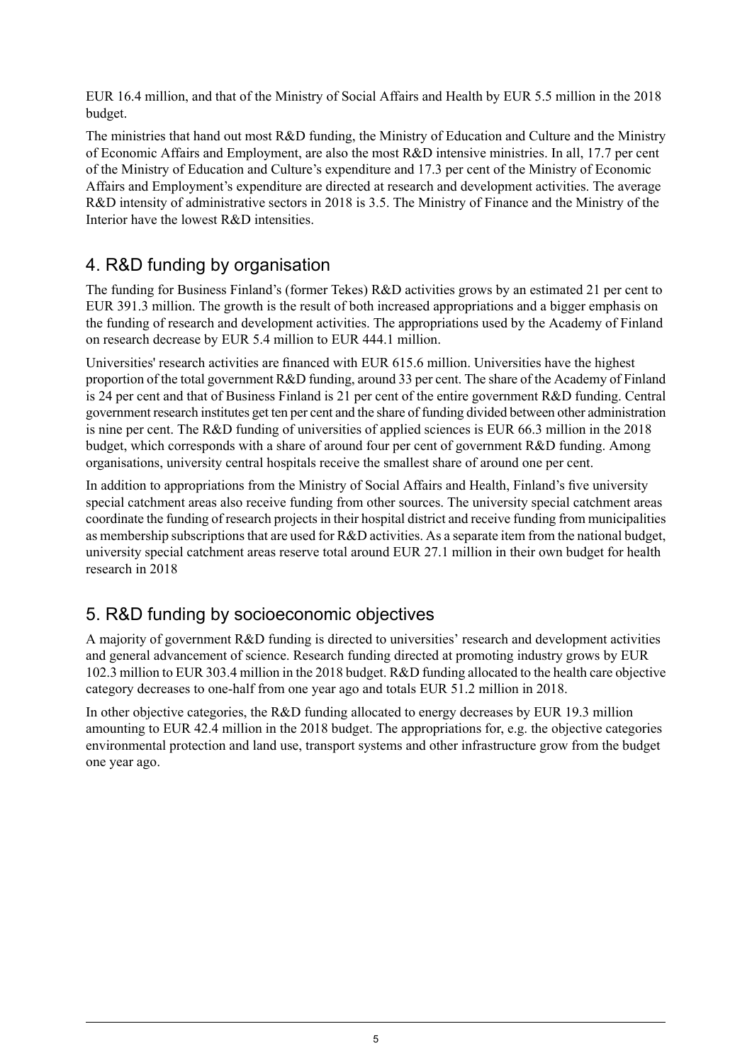EUR 16.4 million, and that of the Ministry of Social Affairs and Health by EUR 5.5 million in the 2018 budget.

The ministries that hand out most R&D funding, the Ministry of Education and Culture and the Ministry of Economic Affairs and Employment, are also the most R&D intensive ministries. In all, 17.7 per cent of the Ministry of Education and Culture's expenditure and 17.3 per cent of the Ministry of Economic Affairs and Employment's expenditure are directed at research and development activities. The average R&D intensity of administrative sectors in 2018 is 3.5. The Ministry of Finance and the Ministry of the Interior have the lowest R&D intensities.

### <span id="page-4-0"></span>4. R&D funding by organisation

The funding for Business Finland's (former Tekes) R&D activities grows by an estimated 21 per cent to EUR 391.3 million. The growth is the result of both increased appropriations and a bigger emphasis on the funding of research and development activities. The appropriations used by the Academy of Finland on research decrease by EUR 5.4 million to EUR 444.1 million.

Universities' research activities are financed with EUR 615.6 million. Universities have the highest proportion of the total government R&D funding, around 33 per cent. The share of the Academy of Finland is 24 per cent and that of Business Finland is 21 per cent of the entire government R&D funding. Central government research institutes get ten per cent and the share of funding divided between other administration is nine per cent. The R&D funding of universities of applied sciences is EUR 66.3 million in the 2018 budget, which corresponds with a share of around four per cent of government R&D funding. Among organisations, university central hospitals receive the smallest share of around one per cent.

In addition to appropriations from the Ministry of Social Affairs and Health, Finland's five university special catchment areas also receive funding from other sources. The university special catchment areas coordinate the funding of research projects in their hospital district and receive funding from municipalities as membership subscriptions that are used for R&D activities. As a separate item from the national budget, university special catchment areas reserve total around EUR 27.1 million in their own budget for health research in 2018

### <span id="page-4-1"></span>5. R&D funding by socioeconomic objectives

A majority of government R&D funding is directed to universities' research and development activities and general advancement of science. Research funding directed at promoting industry grows by EUR 102.3 million to EUR 303.4 million in the 2018 budget. R&D funding allocated to the health care objective category decreases to one-half from one year ago and totals EUR 51.2 million in 2018.

In other objective categories, the R&D funding allocated to energy decreases by EUR 19.3 million amounting to EUR 42.4 million in the 2018 budget. The appropriations for, e.g. the objective categories environmental protection and land use, transport systems and other infrastructure grow from the budget one year ago.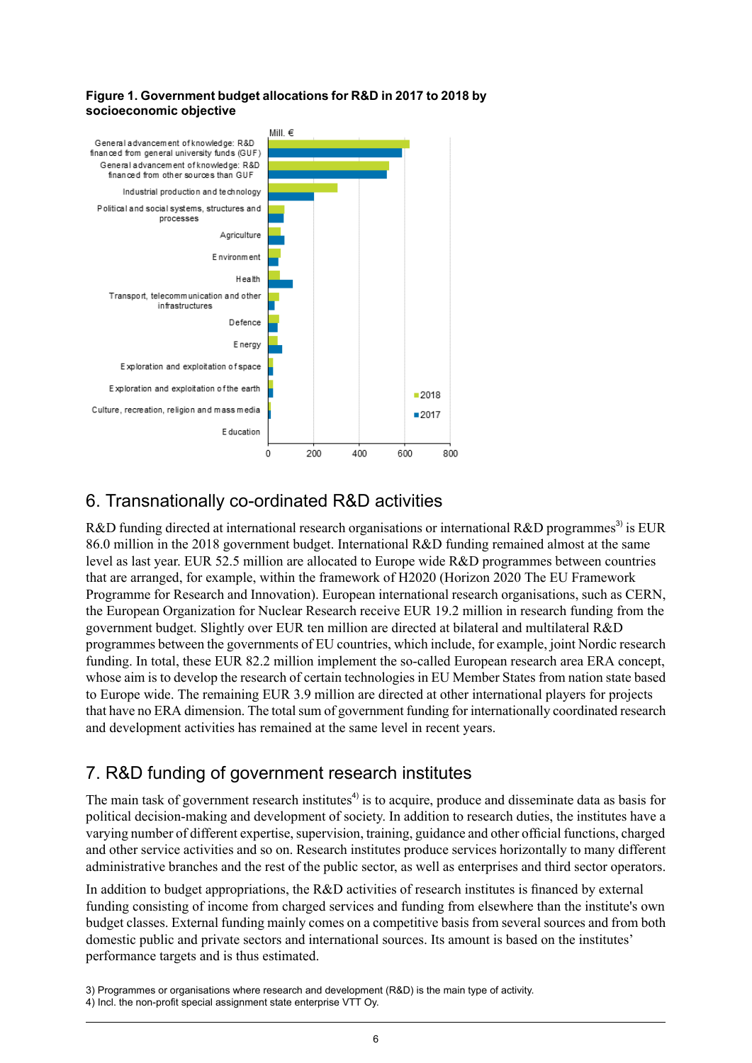#### <span id="page-5-2"></span>**Figure 1. Government budget allocations for R&D in 2017 to 2018 by socioeconomic objective**



### <span id="page-5-0"></span>6. Transnationally co-ordinated R&D activities

R&D funding directed at international research organisations or international R&D programmes<sup>3)</sup> is EUR 86.0 million in the 2018 government budget. International R&D funding remained almost at the same level as last year. EUR 52.5 million are allocated to Europe wide R&D programmes between countries that are arranged, for example, within the framework of H2020 (Horizon 2020 The EU Framework Programme for Research and Innovation). European international research organisations, such as CERN, the European Organization for Nuclear Research receive EUR 19.2 million in research funding from the government budget. Slightly over EUR ten million are directed at bilateral and multilateral R&D programmes between the governments of EU countries, which include, for example, joint Nordic research funding. In total, these EUR 82.2 million implement the so-called European research area ERA concept, whose aim is to develop the research of certain technologies in EU Member States from nation state based to Europe wide. The remaining EUR 3.9 million are directed at other international players for projects that have no ERA dimension. The total sum of government funding for internationally coordinated research and development activities has remained at the same level in recent years.

### <span id="page-5-1"></span>7. R&D funding of government research institutes

The main task of government research institutes<sup>4)</sup> is to acquire, produce and disseminate data as basis for political decision-making and development of society. In addition to research duties, the institutes have a varying number of different expertise, supervision, training, guidance and other official functions, charged and other service activities and so on. Research institutes produce services horizontally to many different administrative branches and the rest of the public sector, as well as enterprises and third sector operators.

In addition to budget appropriations, the R&D activities of research institutes is financed by external funding consisting of income from charged services and funding from elsewhere than the institute's own budget classes. External funding mainly comes on a competitive basis from several sources and from both domestic public and private sectors and international sources. Its amount is based on the institutes' performance targets and is thus estimated.

<sup>3)</sup> Programmes or organisations where research and development (R&D) is the main type of activity.

<sup>4)</sup> Incl. the non-profit special assignment state enterprise VTT Oy.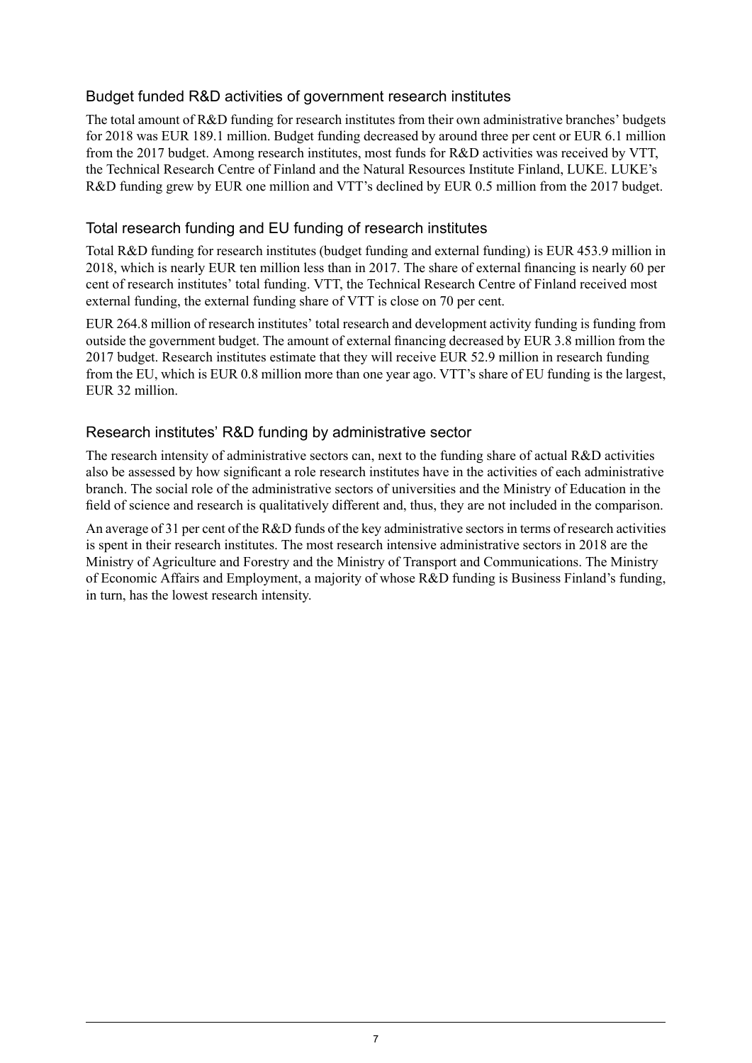### Budget funded R&D activities of government research institutes

The total amount of R&D funding for research institutes from their own administrative branches' budgets for 2018 was EUR 189.1 million. Budget funding decreased by around three per cent or EUR 6.1 million from the 2017 budget. Among research institutes, most funds for R&D activities was received by VTT, the Technical Research Centre of Finland and the Natural Resources Institute Finland, LUKE. LUKE's R&D funding grew by EUR one million and VTT's declined by EUR 0.5 million from the 2017 budget.

### Total research funding and EU funding of research institutes

Total R&D funding for research institutes (budget funding and external funding) is EUR 453.9 million in 2018, which is nearly EUR ten million less than in 2017. The share of external financing is nearly 60 per cent of research institutes' total funding. VTT, the Technical Research Centre of Finland received most external funding, the external funding share of VTT is close on 70 per cent.

EUR 264.8 million of research institutes' total research and development activity funding is funding from outside the government budget. The amount of external financing decreased by EUR 3.8 million from the 2017 budget. Research institutes estimate that they will receive EUR 52.9 million in research funding from the EU, which is EUR 0.8 million more than one year ago. VTT's share of EU funding is the largest, EUR 32 million.

### Research institutes' R&D funding by administrative sector

The research intensity of administrative sectors can, next to the funding share of actual R&D activities also be assessed by how significant a role research institutes have in the activities of each administrative branch. The social role of the administrative sectors of universities and the Ministry of Education in the field of science and research is qualitatively different and, thus, they are not included in the comparison.

An average of 31 per cent of the R&D funds of the key administrative sectors in terms of research activities is spent in their research institutes. The most research intensive administrative sectors in 2018 are the Ministry of Agriculture and Forestry and the Ministry of Transport and Communications. The Ministry of Economic Affairs and Employment, a majority of whose R&D funding is Business Finland's funding, in turn, has the lowest research intensity.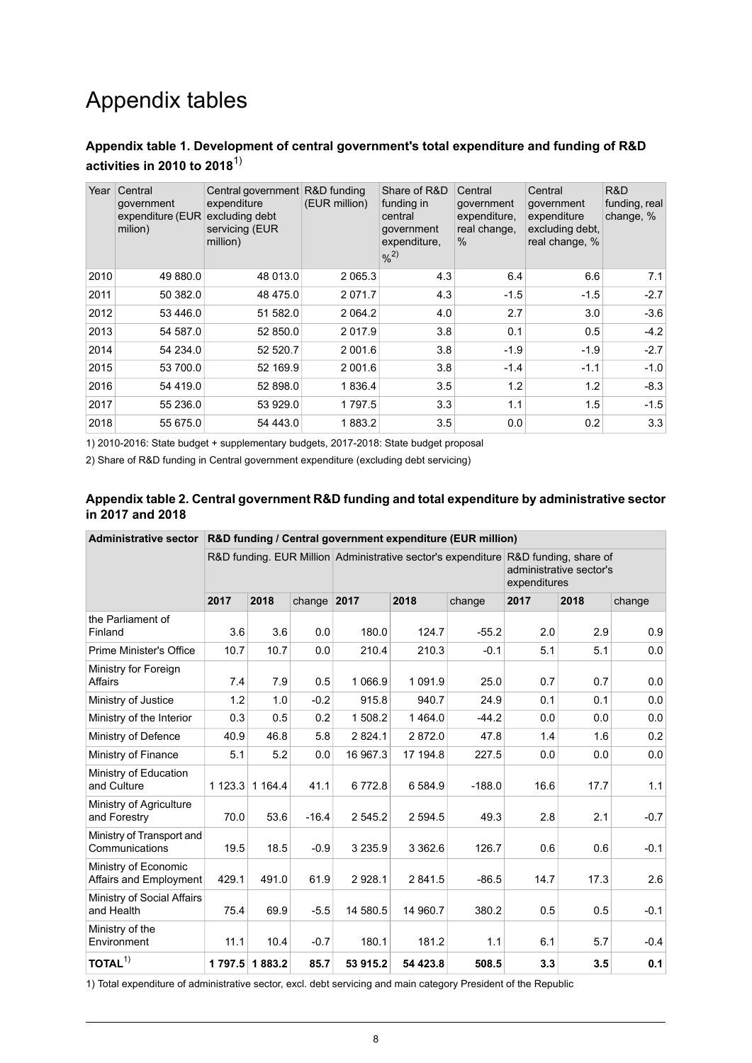## Appendix tables

#### <span id="page-7-0"></span>**Appendix table 1. Development of central government's total expenditure and funding of R&D activities in 2010 to 2018**1)

| Year | Central<br>government<br>expenditure (EUR<br>milion) | Central government R&D funding<br>expenditure<br>excluding debt<br>servicing (EUR<br>million) | (EUR million) | Share of R&D<br>funding in<br>central<br>qovernment<br>expenditure,<br>9/2) | Central<br>qovernment<br>expenditure.<br>real change,<br>$\%$ | Central<br>qovernment<br>expenditure<br>excluding debt,<br>real change, % | R&D<br>funding, real<br>change, % |
|------|------------------------------------------------------|-----------------------------------------------------------------------------------------------|---------------|-----------------------------------------------------------------------------|---------------------------------------------------------------|---------------------------------------------------------------------------|-----------------------------------|
| 2010 | 49 880.0                                             | 48 013.0                                                                                      | 2 0 6 5 . 3   | 4.3                                                                         | 6.4                                                           | 6.6                                                                       | 7.1                               |
| 2011 | 50 382.0                                             | 48 475.0                                                                                      | 2 0 7 1 . 7   | 4.3                                                                         | $-1.5$                                                        | $-1.5$                                                                    | $-2.7$                            |
| 2012 | 53 446.0                                             | 51 582.0                                                                                      | 2 0 64.2      | 4.0                                                                         | 2.7                                                           | 3.0                                                                       | $-3.6$                            |
| 2013 | 54 587.0                                             | 52 850.0                                                                                      | 2 0 1 7 .9    | 3.8                                                                         | 0.1                                                           | 0.5                                                                       | $-4.2$                            |
| 2014 | 54 234.0                                             | 52 520.7                                                                                      | 2 001.6       | 3.8                                                                         | $-1.9$                                                        | $-1.9$                                                                    | $-2.7$                            |
| 2015 | 53 700.0                                             | 52 169.9                                                                                      | 2 001.6       | 3.8                                                                         | $-1.4$                                                        | $-1.1$                                                                    | $-1.0$                            |
| 2016 | 54 419.0                                             | 52 898.0                                                                                      | 1836.4        | 3.5                                                                         | 1.2                                                           | 1.2                                                                       | $-8.3$                            |
| 2017 | 55 236.0                                             | 53 929.0                                                                                      | 1797.5        | 3.3                                                                         | 1.1                                                           | 1.5                                                                       | $-1.5$                            |
| 2018 | 55 675.0                                             | 54 443.0                                                                                      | 1883.2        | 3.5                                                                         | 0.0                                                           | 0.2                                                                       | 3.3                               |

<span id="page-7-1"></span>1) 2010-2016: State budget + supplementary budgets, 2017-2018: State budget proposal

2) Share of R&D funding in Central government expenditure (excluding debt servicing)

#### **Appendix table 2. Central government R&D funding and total expenditure by administrative sector in 2017 and 2018**

| <b>Administrative sector</b>                   | R&D funding / Central government expenditure (EUR million) |               |               |            |            |          |                                                                                                                               |      |        |  |
|------------------------------------------------|------------------------------------------------------------|---------------|---------------|------------|------------|----------|-------------------------------------------------------------------------------------------------------------------------------|------|--------|--|
|                                                |                                                            |               |               |            |            |          | R&D funding. EUR Million Administrative sector's expenditure R&D funding, share of<br>administrative sector's<br>expenditures |      |        |  |
|                                                | 2017                                                       | 2018          | change $2017$ |            | 2018       | change   | 2017                                                                                                                          | 2018 | change |  |
| the Parliament of<br>Finland                   | 3.6                                                        | 3.6           | 0.0           | 180.0      | 124.7      | $-55.2$  | 2.0                                                                                                                           | 2.9  | 0.9    |  |
| <b>Prime Minister's Office</b>                 | 10.7                                                       | 10.7          | 0.0           | 210.4      | 210.3      | $-0.1$   | 5.1                                                                                                                           | 5.1  | 0.0    |  |
| Ministry for Foreign<br><b>Affairs</b>         | 7.4                                                        | 7.9           | 0.5           | 1 0 66.9   | 1 0 9 1 .9 | 25.0     | 0.7                                                                                                                           | 0.7  | 0.0    |  |
| Ministry of Justice                            | 1.2                                                        | 1.0           | $-0.2$        | 915.8      | 940.7      | 24.9     | 0.1                                                                                                                           | 0.1  | 0.0    |  |
| Ministry of the Interior                       | 0.3                                                        | 0.5           | 0.2           | 1 508.2    | 1464.0     | $-44.2$  | 0.0                                                                                                                           | 0.0  | 0.0    |  |
| Ministry of Defence                            | 40.9                                                       | 46.8          | 5.8           | 2824.1     | 2872.0     | 47.8     | 1.4                                                                                                                           | 1.6  | 0.2    |  |
| Ministry of Finance                            | 5.1                                                        | 5.2           | 0.0           | 16 967.3   | 17 194.8   | 227.5    | 0.0                                                                                                                           | 0.0  | 0.0    |  |
| Ministry of Education<br>and Culture           | 1123.3                                                     | 1 1 64.4      | 41.1          | 6772.8     | 6 584.9    | $-188.0$ | 16.6                                                                                                                          | 17.7 | 1.1    |  |
| Ministry of Agriculture<br>and Forestry        | 70.0                                                       | 53.6          | $-16.4$       | 2 5 4 5 .2 | 2 5 9 4 .5 | 49.3     | 2.8                                                                                                                           | 2.1  | $-0.7$ |  |
| Ministry of Transport and<br>Communications    | 19.5                                                       | 18.5          | $-0.9$        | 3 2 3 5 .9 | 3 3 6 2.6  | 126.7    | 0.6                                                                                                                           | 0.6  | $-0.1$ |  |
| Ministry of Economic<br>Affairs and Employment | 429.1                                                      | 491.0         | 61.9          | 2928.1     | 2 841.5    | $-86.5$  | 14.7                                                                                                                          | 17.3 | 2.6    |  |
| Ministry of Social Affairs<br>and Health       | 75.4                                                       | 69.9          | $-5.5$        | 14 580.5   | 14 960.7   | 380.2    | 0.5                                                                                                                           | 0.5  | $-0.1$ |  |
| Ministry of the<br>Environment                 | 11.1                                                       | 10.4          | $-0.7$        | 180.1      | 181.2      | 1.1      | 6.1                                                                                                                           | 5.7  | $-0.4$ |  |
| TOTAL <sup>1</sup>                             |                                                            | 1797.5 1883.2 | 85.7          | 53 915.2   | 54 423.8   | 508.5    | 3.3                                                                                                                           | 3.5  | 0.1    |  |

1) Total expenditure of administrative sector, excl. debt servicing and main category President of the Republic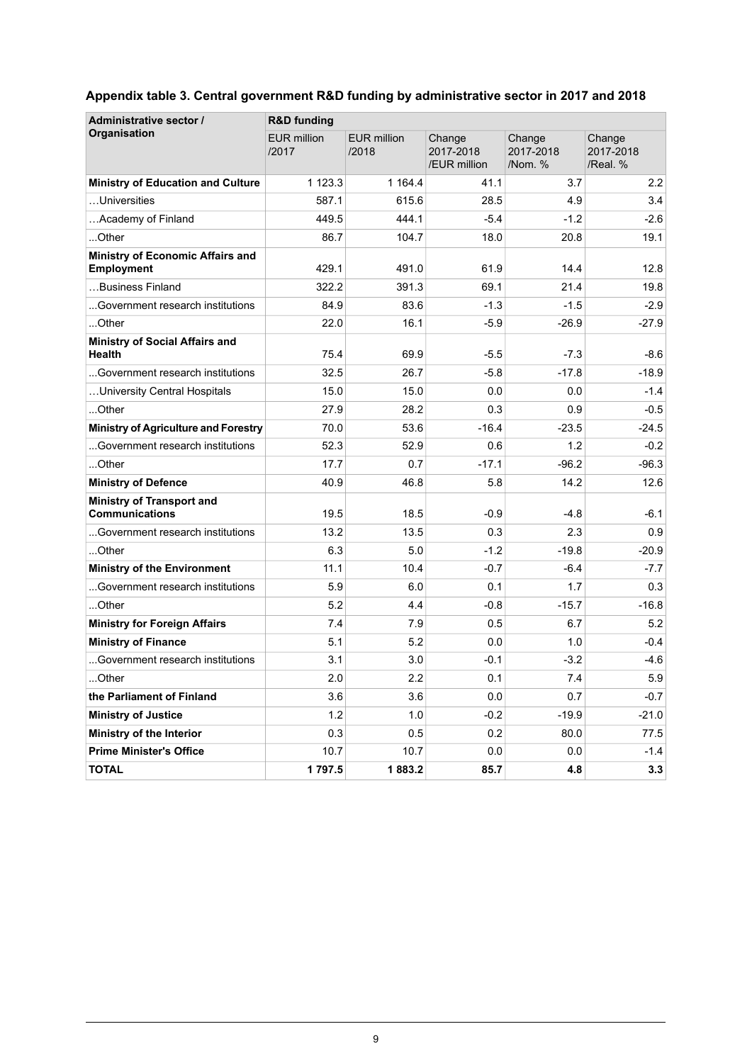| Administrative sector /                                   | <b>R&amp;D funding</b>      |                             |                                     |                                |                                 |  |  |  |  |
|-----------------------------------------------------------|-----------------------------|-----------------------------|-------------------------------------|--------------------------------|---------------------------------|--|--|--|--|
| Organisation                                              | <b>EUR million</b><br>/2017 | <b>EUR million</b><br>/2018 | Change<br>2017-2018<br>/EUR million | Change<br>2017-2018<br>/Nom. % | Change<br>2017-2018<br>/Real. % |  |  |  |  |
| <b>Ministry of Education and Culture</b>                  | 1 1 2 3 . 3                 | 1 1 64.4                    | 41.1                                | 3.7                            | 2.2                             |  |  |  |  |
| Universities                                              | 587.1                       | 615.6                       | 28.5                                | 4.9                            | 3.4                             |  |  |  |  |
| Academy of Finland                                        | 449.5                       | 444.1                       | $-5.4$                              | $-1.2$                         | $-2.6$                          |  |  |  |  |
| Other                                                     | 86.7                        | 104.7                       | 18.0                                | 20.8                           | 19.1                            |  |  |  |  |
| <b>Ministry of Economic Affairs and</b><br>Employment     | 429.1                       | 491.0                       | 61.9                                | 14.4                           | 12.8                            |  |  |  |  |
| Business Finland                                          | 322.2                       | 391.3                       | 69.1                                | 21.4                           | 19.8                            |  |  |  |  |
| Government research institutions                          | 84.9                        | 83.6                        | $-1.3$                              | $-1.5$                         | $-2.9$                          |  |  |  |  |
| …Other                                                    | 22.0                        | 16.1                        | $-5.9$                              | $-26.9$                        | $-27.9$                         |  |  |  |  |
| <b>Ministry of Social Affairs and</b><br>Health           | 75.4                        | 69.9                        | $-5.5$                              | $-7.3$                         | -8.6                            |  |  |  |  |
| Government research institutions                          | 32.5                        | 26.7                        | $-5.8$                              | $-17.8$                        | $-18.9$                         |  |  |  |  |
| University Central Hospitals                              | 15.0                        | 15.0                        | 0.0                                 | 0.0                            | $-1.4$                          |  |  |  |  |
| Other                                                     | 27.9                        | 28.2                        | 0.3                                 | 0.9                            | $-0.5$                          |  |  |  |  |
| <b>Ministry of Agriculture and Forestry</b>               | 70.0                        | 53.6                        | $-16.4$                             | $-23.5$                        | $-24.5$                         |  |  |  |  |
| Government research institutions                          | 52.3                        | 52.9                        | 0.6                                 | 1.2                            | $-0.2$                          |  |  |  |  |
| Other                                                     | 17.7                        | 0.7                         | $-17.1$                             | $-96.2$                        | $-96.3$                         |  |  |  |  |
| <b>Ministry of Defence</b>                                | 40.9                        | 46.8                        | 5.8                                 | 14.2                           | 12.6                            |  |  |  |  |
| <b>Ministry of Transport and</b><br><b>Communications</b> | 19.5                        | 18.5                        | $-0.9$                              | $-4.8$                         | -6.1                            |  |  |  |  |
| Government research institutions                          | 13.2                        | 13.5                        | 0.3                                 | 2.3                            | 0.9                             |  |  |  |  |
| Other                                                     | 63                          | 5.0                         | $-1.2$                              | $-19.8$                        | $-20.9$                         |  |  |  |  |
| <b>Ministry of the Environment</b>                        | 11.1                        | 10.4                        | $-0.7$                              | $-6.4$                         | $-7.7$                          |  |  |  |  |
| Government research institutions                          | 5.9                         | 6.0                         | 0.1                                 | 1.7                            | 0.3                             |  |  |  |  |
| Other                                                     | 5.2                         | 4.4                         | $-0.8$                              | $-15.7$                        | $-16.8$                         |  |  |  |  |
| <b>Ministry for Foreign Affairs</b>                       | 7.4                         | 7.9                         | 0.5                                 | 6.7                            | 5.2                             |  |  |  |  |
| <b>Ministry of Finance</b>                                | 5.1                         | 5.2                         | 0.0                                 | 1.0                            | $-0.4$                          |  |  |  |  |
| Government research institutions                          | 3.1                         | 3.0                         | $-0.1$                              | $-3.2$                         | $-4.6$                          |  |  |  |  |
| Other                                                     | 2.0                         | 2.2                         | 0.1                                 | 7.4                            | 5.9                             |  |  |  |  |
| the Parliament of Finland                                 | 3.6                         | 3.6                         | 0.0                                 | 0.7                            | $-0.7$                          |  |  |  |  |
| <b>Ministry of Justice</b>                                | 1.2                         | 1.0                         | $-0.2$                              | $-19.9$                        | $-21.0$                         |  |  |  |  |
| Ministry of the Interior                                  | 0.3                         | 0.5                         | 0.2                                 | 80.0                           | 77.5                            |  |  |  |  |
| <b>Prime Minister's Office</b>                            | 10.7                        | 10.7                        | 0.0                                 | 0.0                            | $-1.4$                          |  |  |  |  |
| <b>TOTAL</b>                                              | 1797.5                      | 1883.2                      | 85.7                                | 4.8                            | 3.3                             |  |  |  |  |

### <span id="page-8-0"></span>**Appendix table 3. Central government R&D funding by administrative sector in 2017 and 2018**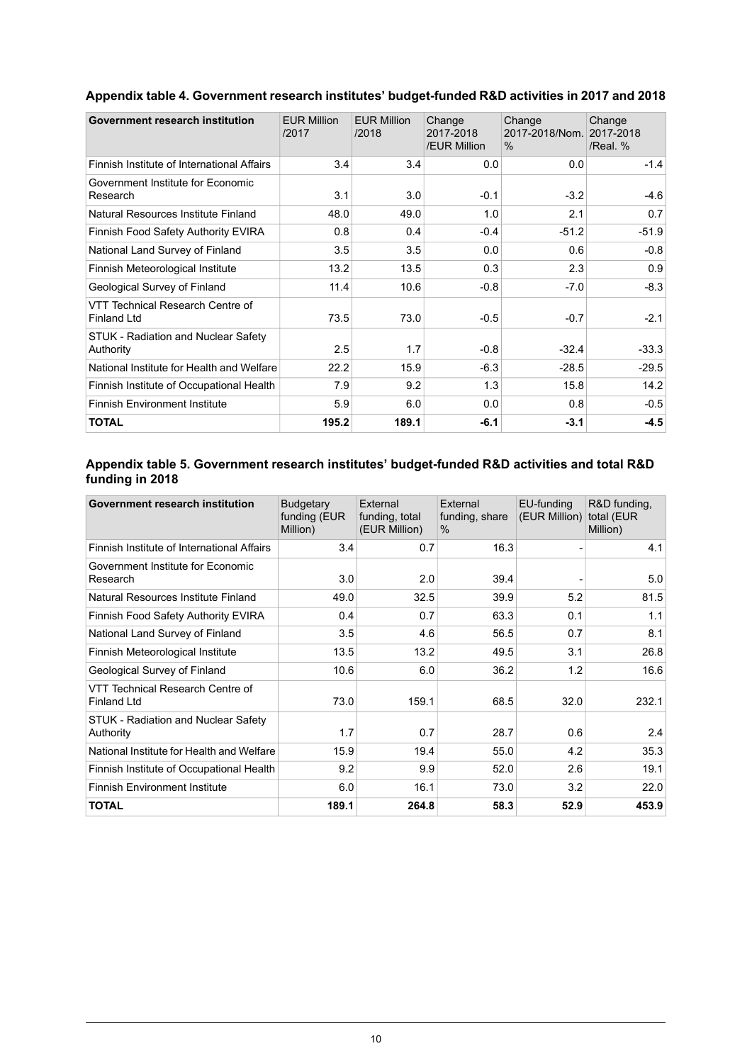| Government research institution                        | <b>EUR Million</b><br>/2017 | <b>EUR Million</b><br>/2018 | Change<br>2017-2018<br>/EUR Million | Change<br>2017-2018/Nom.<br>$\%$ | Change<br>2017-2018<br>/Real. % |
|--------------------------------------------------------|-----------------------------|-----------------------------|-------------------------------------|----------------------------------|---------------------------------|
| Finnish Institute of International Affairs             | 3.4                         | 3.4                         | 0.0                                 | 0.0                              | $-1.4$                          |
| Government Institute for Economic<br>Research          | 3.1                         | 3.0                         | $-0.1$                              | $-3.2$                           | $-4.6$                          |
| Natural Resources Institute Finland                    | 48.0                        | 49.0                        | 1.0                                 | 2.1                              | 0.7                             |
| Finnish Food Safety Authority EVIRA                    | 0.8                         | 0.4                         | $-0.4$                              | $-51.2$                          | $-51.9$                         |
| National Land Survey of Finland                        | 3.5                         | 3.5                         | 0.0                                 | 0.6                              | $-0.8$                          |
| Finnish Meteorological Institute                       | 13.2                        | 13.5                        | 0.3                                 | 2.3                              | 0.9                             |
| Geological Survey of Finland                           | 11.4                        | 10.6                        | $-0.8$                              | $-7.0$                           | $-8.3$                          |
| VTT Technical Research Centre of<br><b>Finland Ltd</b> | 73.5                        | 73.0                        | $-0.5$                              | $-0.7$                           | $-2.1$                          |
| STUK - Radiation and Nuclear Safety<br>Authority       | 2.5                         | 1.7                         | $-0.8$                              | $-32.4$                          | $-33.3$                         |
| National Institute for Health and Welfare              | 22.2                        | 15.9                        | $-6.3$                              | $-28.5$                          | $-29.5$                         |
| Finnish Institute of Occupational Health               | 7.9                         | 9.2                         | 1.3                                 | 15.8                             | 14.2                            |
| <b>Finnish Environment Institute</b>                   | 5.9                         | 6.0                         | 0.0                                 | 0.8                              | $-0.5$                          |
| <b>TOTAL</b>                                           | 195.2                       | 189.1                       | $-6.1$                              | $-3.1$                           | $-4.5$                          |

### <span id="page-9-0"></span>**Appendix table 4. Government research institutes' budget-funded R&D activities in 2017 and 2018**

#### <span id="page-9-1"></span>**Appendix table 5. Government research institutes' budget-funded R&D activities and total R&D funding in 2018**

| Government research institution                        | <b>Budgetary</b><br>funding (EUR<br>Million) | External<br>funding, total<br>(EUR Million) | External<br>funding, share<br>$\%$ | EU-funding<br>(EUR Million) | R&D funding.<br>total (EUR<br>Million) |
|--------------------------------------------------------|----------------------------------------------|---------------------------------------------|------------------------------------|-----------------------------|----------------------------------------|
| Finnish Institute of International Affairs             | 3.4                                          | 0.7                                         | 16.3                               |                             | 4.1                                    |
| Government Institute for Economic<br>Research          | 3.0                                          | 2.0                                         | 39.4                               |                             | 5.0                                    |
| Natural Resources Institute Finland                    | 49.0                                         | 32.5                                        | 39.9                               | 5.2                         | 81.5                                   |
| Finnish Food Safety Authority EVIRA                    | 0.4                                          | 0.7                                         | 63.3                               | 0.1                         | 1.1                                    |
| National Land Survey of Finland                        | 3.5                                          | 4.6                                         | 56.5                               | 0.7                         | 8.1                                    |
| Finnish Meteorological Institute                       | 13.5                                         | 13.2                                        | 49.5                               | 3.1                         | 26.8                                   |
| Geological Survey of Finland                           | 10.6                                         | 6.0                                         | 36.2                               | 1.2                         | 16.6                                   |
| VTT Technical Research Centre of<br><b>Finland Ltd</b> | 73.0                                         | 159.1                                       | 68.5                               | 32.0                        | 232.1                                  |
| STUK - Radiation and Nuclear Safety<br>Authority       | 1.7                                          | 0.7                                         | 28.7                               | 0.6                         | 2.4                                    |
| National Institute for Health and Welfare              | 15.9                                         | 19.4                                        | 55.0                               | 4.2                         | 35.3                                   |
| Finnish Institute of Occupational Health               | 9.2                                          | 9.9                                         | 52.0                               | 2.6                         | 19.1                                   |
| <b>Finnish Environment Institute</b>                   | 6.0                                          | 16.1                                        | 73.0                               | 3.2                         | 22.0                                   |
| <b>TOTAL</b>                                           | 189.1                                        | 264.8                                       | 58.3                               | 52.9                        | 453.9                                  |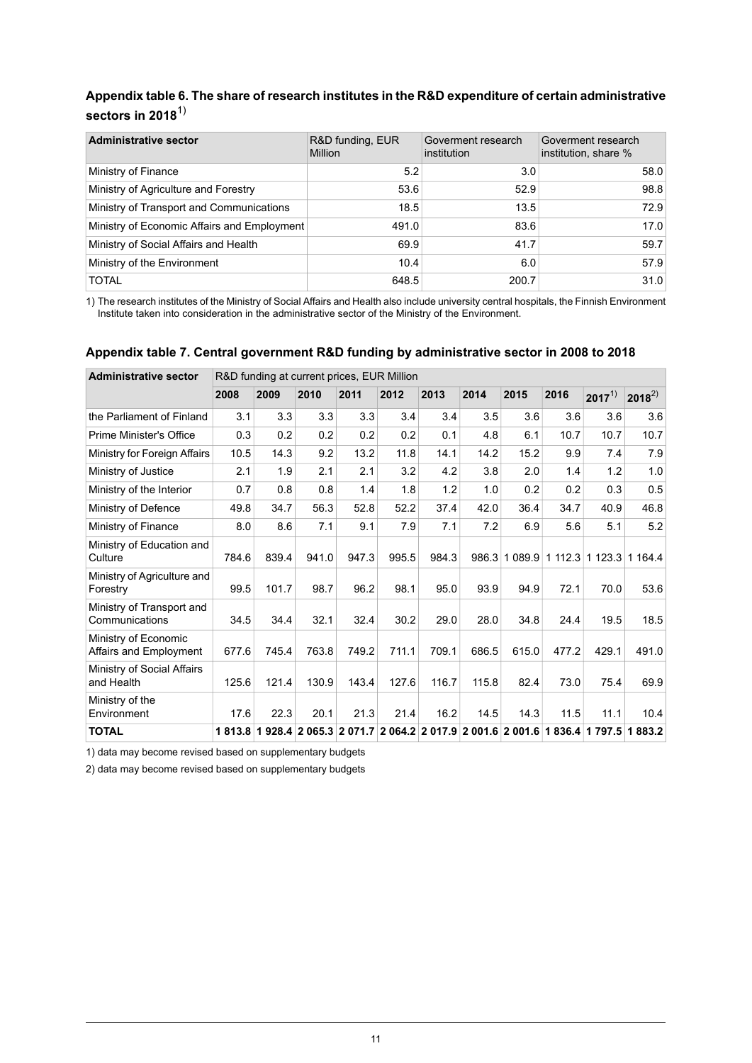### <span id="page-10-0"></span>**Appendix table 6. The share of research institutes in the R&D expenditure of certain administrative sectors in 2018**1)

| <b>Administrative sector</b>                | R&D funding, EUR<br>Million | Goverment research<br>institution | Goverment research<br>institution, share % |
|---------------------------------------------|-----------------------------|-----------------------------------|--------------------------------------------|
| Ministry of Finance                         | 5.2                         | 3.0                               | 58.0                                       |
| Ministry of Agriculture and Forestry        | 53.6                        | 52.9                              | 98.8                                       |
| Ministry of Transport and Communications    | 18.5                        | 13.5                              | 72.9                                       |
| Ministry of Economic Affairs and Employment | 491.0                       | 83.6                              | 17.0                                       |
| Ministry of Social Affairs and Health       | 69.9                        | 41.7                              | 59.7                                       |
| Ministry of the Environment                 | 10.4                        | 6.0                               | 57.9                                       |
| <b>TOTAL</b>                                | 648.5                       | 200.7                             | 31.0                                       |

<span id="page-10-1"></span>1) The research institutes of the Ministry of Social Affairs and Health also include university central hospitals, the Finnish Environment Institute taken into consideration in the administrative sector of the Ministry of the Environment.

#### **Appendix table 7. Central government R&D funding by administrative sector in 2008 to 2018**

| <b>Administrative sector</b>                   | R&D funding at current prices, EUR Million |                                                                         |       |       |       |       |       |               |        |                 |                 |
|------------------------------------------------|--------------------------------------------|-------------------------------------------------------------------------|-------|-------|-------|-------|-------|---------------|--------|-----------------|-----------------|
|                                                | 2008                                       | 2009                                                                    | 2010  | 2011  | 2012  | 2013  | 2014  | 2015          | 2016   | $2017^{1}$      | $2018^{2}$      |
| the Parliament of Finland                      | 3.1                                        | 3.3                                                                     | 3.3   | 3.3   | 3.4   | 3.4   | 3.5   | 3.6           | 3.6    | 3.6             | 3.6             |
| Prime Minister's Office                        | 0.3                                        | 0.2                                                                     | 0.2   | 0.2   | 0.2   | 0.1   | 4.8   | 6.1           | 10.7   | 10.7            | 10.7            |
| Ministry for Foreign Affairs                   | 10.5                                       | 14.3                                                                    | 9.2   | 13.2  | 11.8  | 14.1  | 14.2  | 15.2          | 9.9    | 7.4             | 7.9             |
| Ministry of Justice                            | 2.1                                        | 1.9                                                                     | 2.1   | 2.1   | 3.2   | 4.2   | 3.8   | 2.0           | 1.4    | 1.2             | 1.0             |
| Ministry of the Interior                       | 0.7                                        | 0.8                                                                     | 0.8   | 1.4   | 1.8   | 1.2   | 1.0   | 0.2           | 0.2    | 0.3             | 0.5             |
| Ministry of Defence                            | 49.8                                       | 34.7                                                                    | 56.3  | 52.8  | 52.2  | 37.4  | 42.0  | 36.4          | 34.7   | 40.9            | 46.8            |
| Ministry of Finance                            | 8.0                                        | 8.6                                                                     | 7.1   | 9.1   | 7.9   | 7.1   | 7.2   | 6.9           | 5.6    | 5.1             | 5.2             |
| Ministry of Education and<br>Culture           | 784.6                                      | 839.4                                                                   | 941.0 | 947.3 | 995.5 | 984.3 |       | 986.3 1 089.9 | 1112.3 |                 | 1 123 3 1 164 4 |
| Ministry of Agriculture and<br>Forestry        | 99.5                                       | 101.7                                                                   | 98.7  | 96.2  | 98.1  | 95.0  | 93.9  | 94.9          | 72.1   | 70.0            | 53.6            |
| Ministry of Transport and<br>Communications    | 34.5                                       | 34.4                                                                    | 32.1  | 32.4  | 30.2  | 29.0  | 28.0  | 34.8          | 24.4   | 19.5            | 18.5            |
| Ministry of Economic<br>Affairs and Employment | 677.6                                      | 745.4                                                                   | 763.8 | 749.2 | 711.1 | 709.1 | 686.5 | 615.0         | 477.2  | 429.1           | 491.0           |
| Ministry of Social Affairs<br>and Health       | 125.6                                      | 121.4                                                                   | 130.9 | 143.4 | 127.6 | 116.7 | 115.8 | 82.4          | 73.0   | 75.4            | 69.9            |
| Ministry of the<br>Environment                 | 17.6                                       | 22.3                                                                    | 20.1  | 21.3  | 21.4  | 16.2  | 14.5  | 14.3          | 11.5   | 11.1            | 10.4            |
| <b>TOTAL</b>                                   |                                            | 1 813.8 1 928.4 2 065.3 2 071.7 2 064.2 2 017.9 2 001.6 2 001.6 1 836.4 |       |       |       |       |       |               |        | 1 797.5 1 883.2 |                 |

1) data may become revised based on supplementary budgets

2) data may become revised based on supplementary budgets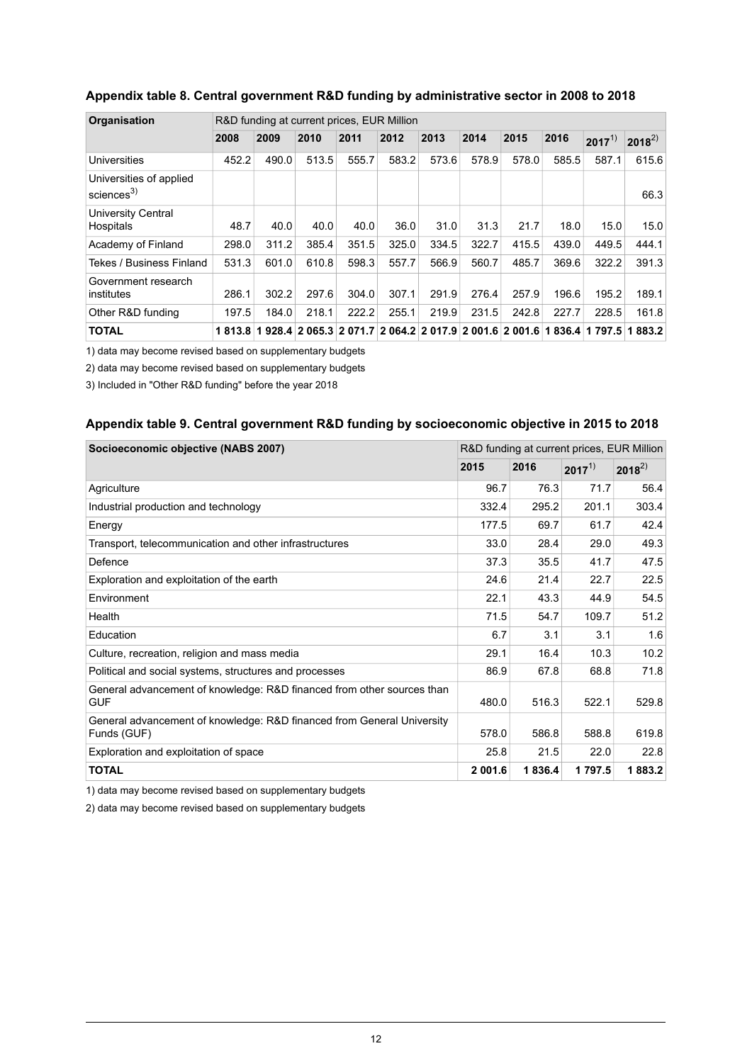| Organisation<br>R&D funding at current prices, EUR Million |       |                                                                 |       |       |       |       |       |       |            |            |            |
|------------------------------------------------------------|-------|-----------------------------------------------------------------|-------|-------|-------|-------|-------|-------|------------|------------|------------|
|                                                            | 2008  | 2009                                                            | 2010  | 2011  | 2012  | 2013  | 2014  | 2015  | 2016       | $2017^{1}$ | $2018^{2}$ |
| <b>Universities</b>                                        | 452.2 | 490.0                                                           | 513.5 | 555.7 | 583.2 | 573.6 | 578.9 | 578.0 | 585.5      | 587.1      | 615.6      |
| Universities of applied<br>sciences $^{3)}$                |       |                                                                 |       |       |       |       |       |       |            |            | 66.3       |
| University Central<br>Hospitals                            | 48.7  | 40.0                                                            | 40.0  | 40.0  | 36.0  | 31.0  | 31.3  | 21.7  | 18.0       | 15.0       | 15.0       |
| Academy of Finland                                         | 298.0 | 311.2                                                           | 385.4 | 351.5 | 325.0 | 334.5 | 322.7 | 415.5 | 439.0      | 449.5      | 444.1      |
| Tekes / Business Finland                                   | 531.3 | 601.0                                                           | 610.8 | 598.3 | 557.7 | 566.9 | 560.7 | 485.7 | 369.6      | 322.2      | 391.3      |
| Government research<br>institutes                          | 286.1 | 302.2                                                           | 297.6 | 304.0 | 307.1 | 291.9 | 276.4 | 257.9 | 196.6      | 195.2      | 189.1      |
| Other R&D funding                                          | 197.5 | 184.0                                                           | 218.1 | 222.2 | 255.1 | 219.9 | 231.5 | 242.8 | 227.7      | 228.5      | 161.8      |
| <b>TOTAL</b>                                               |       | 1 813.8 1 928.4 2 065.3 2 071.7 2 064.2 2 017.9 2 001.6 2 001.6 |       |       |       |       |       |       | 836.4<br>1 | 1 797.5    | 883.2<br>1 |

#### <span id="page-11-0"></span>**Appendix table 8. Central government R&D funding by administrative sector in 2008 to 2018**

1) data may become revised based on supplementary budgets

2) data may become revised based on supplementary budgets

<span id="page-11-1"></span>3) Included in "Other R&D funding" before the year 2018

#### **Appendix table 9. Central government R&D funding by socioeconomic objective in 2015 to 2018**

| Socioeconomic objective (NABS 2007)                                                   | R&D funding at current prices, EUR Million |        |            |            |
|---------------------------------------------------------------------------------------|--------------------------------------------|--------|------------|------------|
|                                                                                       | 2015                                       | 2016   | $2017^{1}$ | $2018^{2}$ |
| Agriculture                                                                           | 96.7                                       | 76.3   | 71.7       | 56.4       |
| Industrial production and technology                                                  | 332.4                                      | 295.2  | 201.1      | 303.4      |
| Energy                                                                                | 177.5                                      | 69.7   | 61.7       | 42.4       |
| Transport, telecommunication and other infrastructures                                | 33.0                                       | 28.4   | 29.0       | 49.3       |
| Defence                                                                               | 37.3                                       | 35.5   | 41.7       | 47.5       |
| Exploration and exploitation of the earth                                             | 24.6                                       | 21.4   | 22.7       | 22.5       |
| Environment                                                                           | 22.1                                       | 43.3   | 44.9       | 54.5       |
| Health                                                                                | 71.5                                       | 54.7   | 109.7      | 51.2       |
| Education                                                                             | 6.7                                        | 3.1    | 3.1        | 1.6        |
| Culture, recreation, religion and mass media                                          | 29.1                                       | 16.4   | 10.3       | 10.2       |
| Political and social systems, structures and processes                                | 86.9                                       | 67.8   | 68.8       | 71.8       |
| General advancement of knowledge: R&D financed from other sources than<br><b>GUF</b>  | 480.0                                      | 516.3  | 522.1      | 529.8      |
| General advancement of knowledge: R&D financed from General University<br>Funds (GUF) | 578.0                                      | 586.8  | 588.8      | 619.8      |
| Exploration and exploitation of space                                                 | 25.8                                       | 21.5   | 22.0       | 22.8       |
| <b>TOTAL</b>                                                                          | 2 001.6                                    | 1836.4 | 1797.5     | 1883.2     |

1) data may become revised based on supplementary budgets

2) data may become revised based on supplementary budgets